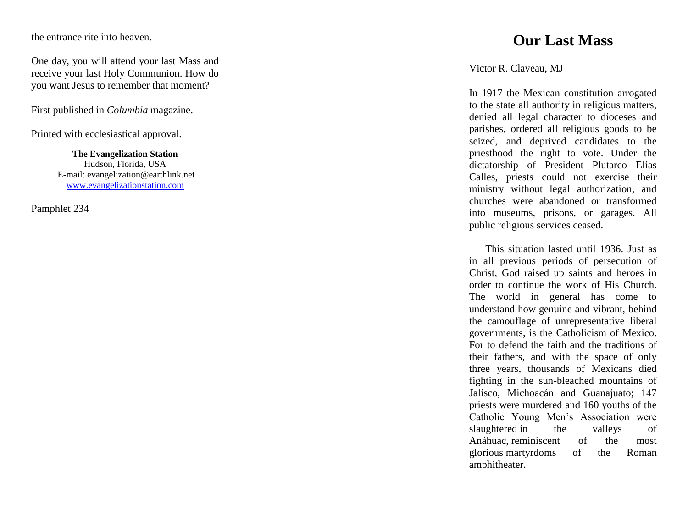the entrance rite into heaven.

One day, you will attend your last Mass and receive your last Holy Communion. How do you want Jesus to remember that moment?

First published in *Columbia* magazine.

Printed with ecclesiastical approval.

**The Evangelization Station** Hudson, Florida, USA E -mail: evangelization@earthlink.net [www.evangelizationstation.com](http://www.pjpiisoe.org/)

Pamphlet <sup>234</sup>

## **Our Last Mass**

Victor R. Claveau, MJ

In 1917 the Mexican constitution arrogated to the state all authority in religious matters, denied all legal character to dioceses and parishes, ordered all religious goods to be seized, and deprived candidates to the priesthood the right to vote. Under the dictatorship of President Plutarco Elias Calles, priests could not exercise their ministry without legal authorization, and churches were abandoned or transformed into museums, prisons, or garages. All public religious services ceased.

This situation lasted until 1936. Just as in all previous periods of persecution of Christ, God raised up saints and heroes in order to continue the work of His Church. The world in general has come to understand how genuine and vibrant, behind the camouflage of unrepresentative liberal governments, is the Catholicism of Mexico. For to defend the faith and the traditions of their fathers, and with the space of only three years, thousands of Mexicans died fighting in the sun -bleached mountains of Jalisco, Michoacán and Guanajuato; 147 priests were murdered and 160 youths of the Catholic Young Men's Association were slaughtered in the valleys of Anáhuac, reminiscent of the most glorious martyrdoms of the Roman amphitheater.